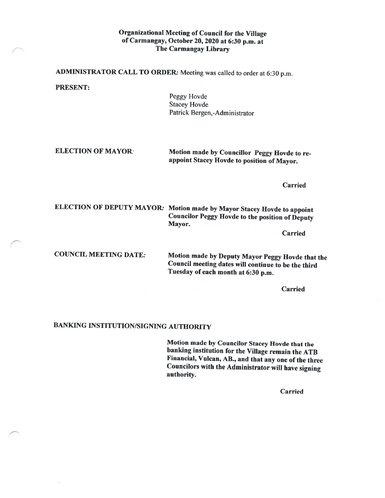# Organizational Meeting of Council for the Village of Carmangay, October 20, <sup>2020</sup> at 6:30 p.m. at The Carmangay Library

ADMINISTRATOR CALL TO ORDER: Meeting was called to order at 6:30 p.m.

PRESENT:

Peggy Hovde Stacey Hovde Patrick Bergen,-Administrator

ELECTION OF MAYOR: Motion made by Councillor Peggy Hovde to re appoint Stacey Hovde to position of Mayor.

Carried

ELECTION Of DEPUTY MAYOR: Motion made by Mayor Stacey Hovde to appoint Councilor Peggy Hovde to the position of Deputy Mayor.

Carried

COUNCIL MEETING DATE: Motion made by Deputy Mayor Peggy Hovde that the Council meeting dates will continue to be the third Tuesday of each month at 6:30 p.m.

Carried

# BANKING INSTITUTION/SIGNING AUTHORITY

Motion made by Councilor Stacey Hovde that the banking institution for the Village remain the ATB financial, Vulcan, AB., and that any one of the three Councilors with the Administrator will have signing authority.

Carried